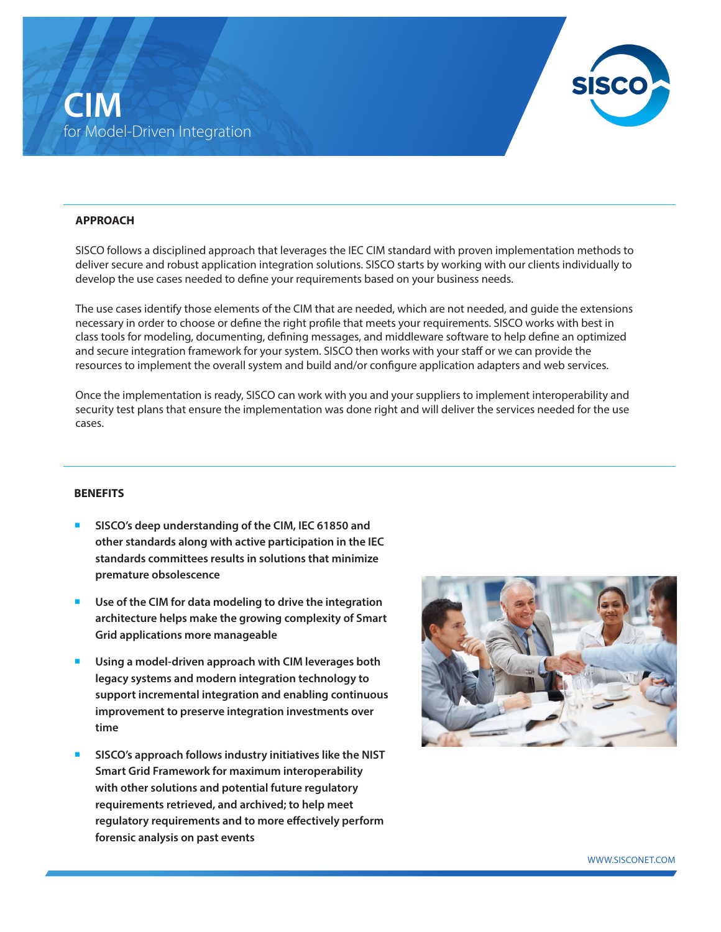

## **APPROACH**

SISCO follows a disciplined approach that leverages the IEC CIM standard with proven implementation methods to deliver secure and robust application integration solutions. SISCO starts by working with our clients individually to develop the use cases needed to define your requirements based on your business needs.

The use cases identify those elements of the CIM that are needed, which are not needed, and guide the extensions necessary in order to choose or define the right profile that meets your requirements. SISCO works with best in class tools for modeling, documenting, defining messages, and middleware software to help define an optimized and secure integration framework for your system. SISCO then works with your staff or we can provide the resources to implement the overall system and build and/or configure application adapters and web services.

Once the implementation is ready, SISCO can work with you and your suppliers to implement interoperability and security test plans that ensure the implementation was done right and will deliver the services needed for the use cases.

### **BENEFITS**

- SISCO's deep understanding of the CIM, IEC 61850 and **other standards along with active participation in the IEC standards committees results in solutions that minimize premature obsolescence**
- Use of the CIM for data modeling to drive the integration **architecture helps make the growing complexity of Smart Grid applications more manageable**
- Using a model-driven approach with CIM leverages both **legacy systems and modern integration technology to support incremental integration and enabling continuous improvement to preserve integration investments over time**
- ¡ **SISCO's approach follows industry initiatives like the NIST Smart Grid Framework for maximum interoperability with other solutions and potential future regulatory requirements retrieved, and archived; to help meet regulatory requirements and to more effectively perform forensic analysis on past events**